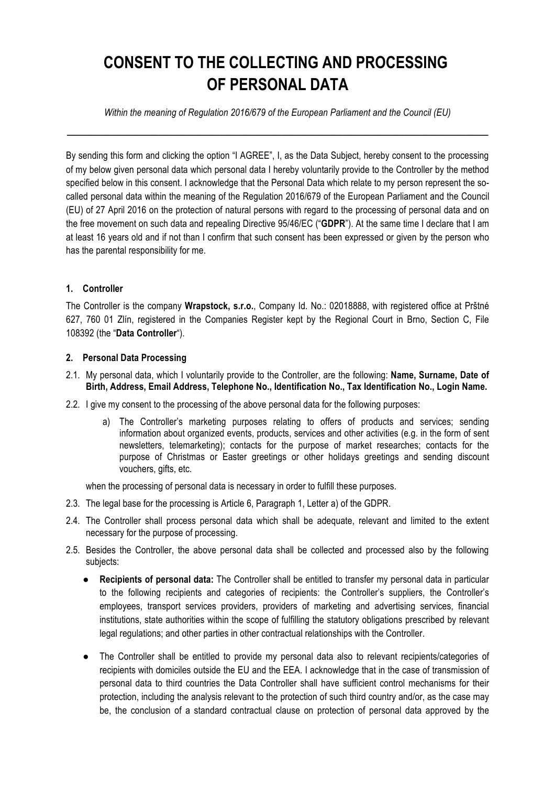## **CONSENT TO THE COLLECTING AND PROCESSING OF PERSONAL DATA**

*Within the meaning of Regulation 2016/679 of the European Parliament and the Council (EU)* **\_\_\_\_\_\_\_\_\_\_\_\_\_\_\_\_\_\_\_\_\_\_\_\_\_\_\_\_\_\_\_\_\_\_\_\_\_\_\_\_\_\_\_\_\_\_\_\_\_\_\_\_\_\_\_**

By sending this form and clicking the option "I AGREE", I, as the Data Subject, hereby consent to the processing of my below given personal data which personal data I hereby voluntarily provide to the Controller by the method specified below in this consent. I acknowledge that the Personal Data which relate to my person represent the socalled personal data within the meaning of the Regulation 2016/679 of the European Parliament and the Council (EU) of 27 April 2016 on the protection of natural persons with regard to the processing of personal data and on the free movement on such data and repealing Directive 95/46/EC ("**GDPR**"). At the same time I declare that I am at least 16 years old and if not than I confirm that such consent has been expressed or given by the person who has the parental responsibility for me.

## **1. Controller**

The Controller is the company **Wrapstock, s.r.o.**, Company Id. No.: 02018888, with registered office at Prštné 627, 760 01 Zlín, registered in the Companies Register kept by the Regional Court in Brno, Section C, File 108392 (the "**Data Controller**").

## **2. Personal Data Processing**

- 2.1. My personal data, which I voluntarily provide to the Controller, are the following: **Name, Surname, Date of Birth, Address, Email Address, Telephone No., Identification No., Tax Identification No., Login Name.**
- 2.2. I give my consent to the processing of the above personal data for the following purposes:
	- a) The Controller's marketing purposes relating to offers of products and services; sending information about organized events, products, services and other activities (e.g. in the form of sent newsletters, telemarketing); contacts for the purpose of market researches; contacts for the purpose of Christmas or Easter greetings or other holidays greetings and sending discount vouchers, gifts, etc.

when the processing of personal data is necessary in order to fulfill these purposes.

- 2.3. The legal base for the processing is Article 6, Paragraph 1, Letter a) of the GDPR.
- 2.4. The Controller shall process personal data which shall be adequate, relevant and limited to the extent necessary for the purpose of processing.
- 2.5. Besides the Controller, the above personal data shall be collected and processed also by the following subjects:
	- **Recipients of personal data:** The Controller shall be entitled to transfer my personal data in particular to the following recipients and categories of recipients: the Controller's suppliers, the Controller's employees, transport services providers, providers of marketing and advertising services, financial institutions, state authorities within the scope of fulfilling the statutory obligations prescribed by relevant legal regulations; and other parties in other contractual relationships with the Controller.
	- The Controller shall be entitled to provide my personal data also to relevant recipients/categories of recipients with domiciles outside the EU and the EEA. I acknowledge that in the case of transmission of personal data to third countries the Data Controller shall have sufficient control mechanisms for their protection, including the analysis relevant to the protection of such third country and/or, as the case may be, the conclusion of a standard contractual clause on protection of personal data approved by the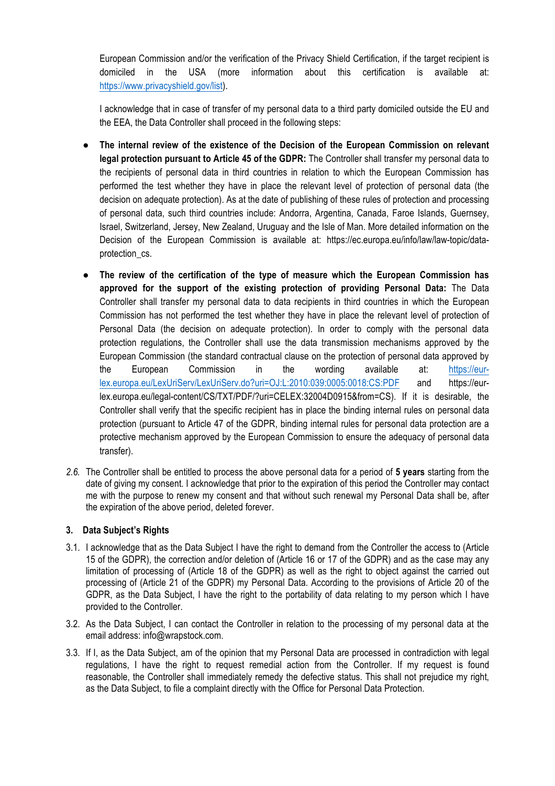European Commission and/or the verification of the Privacy Shield Certification, if the target recipient is domiciled in the USA (more information about this certification is available at: https://www.privacyshield.gov/list).

I acknowledge that in case of transfer of my personal data to a third party domiciled outside the EU and the EEA, the Data Controller shall proceed in the following steps:

- **The internal review of the existence of the Decision of the European Commission on relevant legal protection pursuant to Article 45 of the GDPR:** The Controller shall transfer my personal data to the recipients of personal data in third countries in relation to which the European Commission has performed the test whether they have in place the relevant level of protection of personal data (the decision on adequate protection). As at the date of publishing of these rules of protection and processing of personal data, such third countries include: Andorra, Argentina, Canada, Faroe Islands, Guernsey, Israel, Switzerland, Jersey, New Zealand, Uruguay and the Isle of Man. More detailed information on the Decision of the European Commission is available at: https://ec.europa.eu/info/law/law-topic/dataprotection\_cs.
- **The review of the certification of the type of measure which the European Commission has approved for the support of the existing protection of providing Personal Data:** The Data Controller shall transfer my personal data to data recipients in third countries in which the European Commission has not performed the test whether they have in place the relevant level of protection of Personal Data (the decision on adequate protection). In order to comply with the personal data protection regulations, the Controller shall use the data transmission mechanisms approved by the European Commission (the standard contractual clause on the protection of personal data approved by the European Commission in the wording available at: https://eurlex.europa.eu/LexUriServ/LexUriServ.do?uri=OJ:L:2010:039:0005:0018:CS:PDF and https://eurlex.europa.eu/legal-content/CS/TXT/PDF/?uri=CELEX:32004D0915&from=CS). If it is desirable, the Controller shall verify that the specific recipient has in place the binding internal rules on personal data protection (pursuant to Article 47 of the GDPR, binding internal rules for personal data protection are a protective mechanism approved by the European Commission to ensure the adequacy of personal data transfer).
- *2.6.* The Controller shall be entitled to process the above personal data for a period of **5 years** starting from the date of giving my consent. I acknowledge that prior to the expiration of this period the Controller may contact me with the purpose to renew my consent and that without such renewal my Personal Data shall be, after the expiration of the above period, deleted forever.

## **3. Data Subject's Rights**

- 3.1. I acknowledge that as the Data Subject I have the right to demand from the Controller the access to (Article 15 of the GDPR), the correction and/or deletion of (Article 16 or 17 of the GDPR) and as the case may any limitation of processing of (Article 18 of the GDPR) as well as the right to object against the carried out processing of (Article 21 of the GDPR) my Personal Data. According to the provisions of Article 20 of the GDPR, as the Data Subject, I have the right to the portability of data relating to my person which I have provided to the Controller.
- 3.2. As the Data Subject, I can contact the Controller in relation to the processing of my personal data at the email address: info@wrapstock.com.
- 3.3. If I, as the Data Subject, am of the opinion that my Personal Data are processed in contradiction with legal regulations, I have the right to request remedial action from the Controller. If my request is found reasonable, the Controller shall immediately remedy the defective status. This shall not prejudice my right, as the Data Subject, to file a complaint directly with the Office for Personal Data Protection.